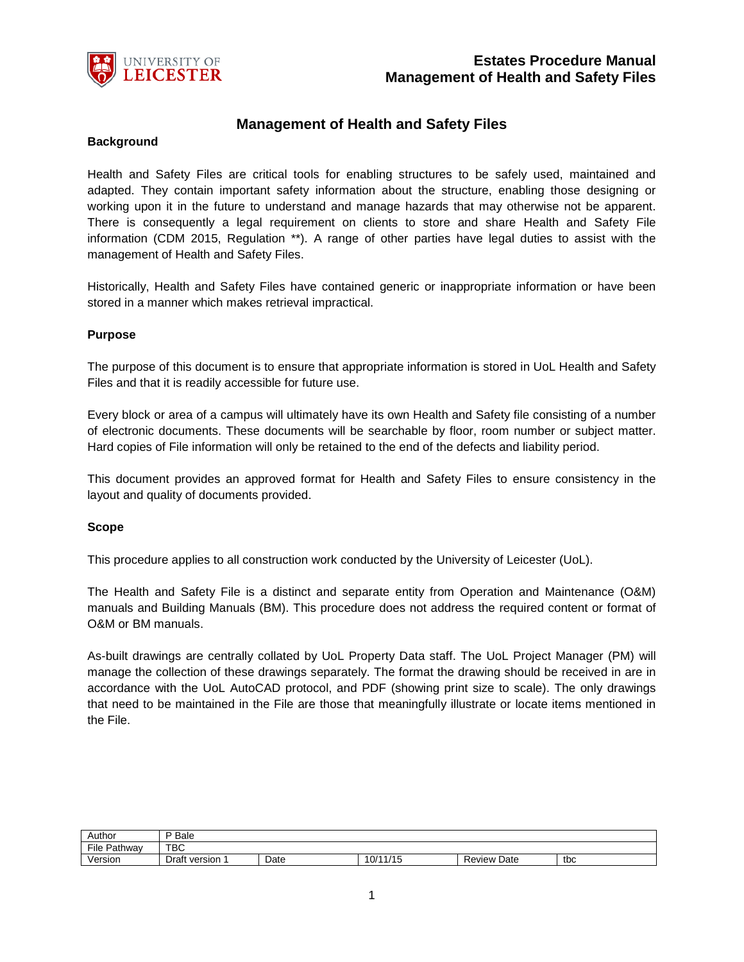

# **Management of Health and Safety Files**

#### **Background**

Health and Safety Files are critical tools for enabling structures to be safely used, maintained and adapted. They contain important safety information about the structure, enabling those designing or working upon it in the future to understand and manage hazards that may otherwise not be apparent. There is consequently a legal requirement on clients to store and share Health and Safety File information (CDM 2015, Regulation \*\*). A range of other parties have legal duties to assist with the management of Health and Safety Files.

Historically, Health and Safety Files have contained generic or inappropriate information or have been stored in a manner which makes retrieval impractical.

#### **Purpose**

The purpose of this document is to ensure that appropriate information is stored in UoL Health and Safety Files and that it is readily accessible for future use.

Every block or area of a campus will ultimately have its own Health and Safety file consisting of a number of electronic documents. These documents will be searchable by floor, room number or subject matter. Hard copies of File information will only be retained to the end of the defects and liability period.

This document provides an approved format for Health and Safety Files to ensure consistency in the layout and quality of documents provided.

#### **Scope**

This procedure applies to all construction work conducted by the University of Leicester (UoL).

The Health and Safety File is a distinct and separate entity from Operation and Maintenance (O&M) manuals and Building Manuals (BM). This procedure does not address the required content or format of O&M or BM manuals.

As-built drawings are centrally collated by UoL Property Data staff. The UoL Project Manager (PM) will manage the collection of these drawings separately. The format the drawing should be received in are in accordance with the UoL AutoCAD protocol, and PDF (showing print size to scale). The only drawings that need to be maintained in the File are those that meaningfully illustrate or locate items mentioned in the File.

| Author               | D<br><b>Bale</b> |      |              |                |     |
|----------------------|------------------|------|--------------|----------------|-----|
| -<br>File<br>Pathway | TBC              |      |              |                |     |
| Version              | version<br>υιαιι | Date | 1/15<br>10/1 | Date<br>Review | tbc |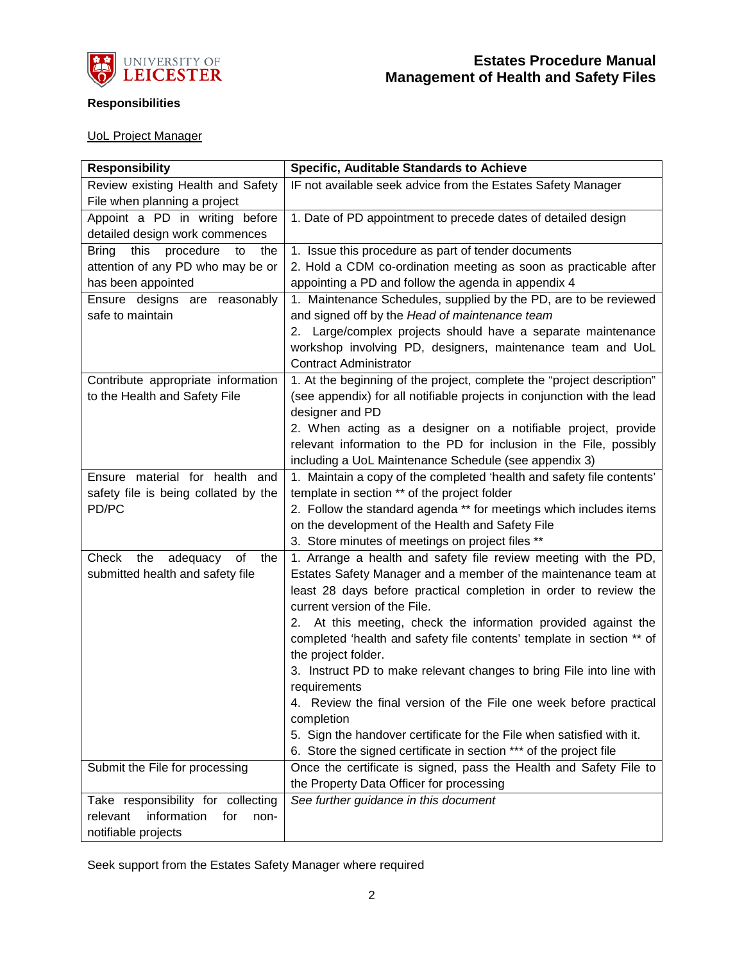

# **Responsibilities**

# UoL Project Manager

| <b>Responsibility</b>                   | Specific, Auditable Standards to Achieve                                |
|-----------------------------------------|-------------------------------------------------------------------------|
| Review existing Health and Safety       | IF not available seek advice from the Estates Safety Manager            |
| File when planning a project            |                                                                         |
| Appoint a PD in writing before          | 1. Date of PD appointment to precede dates of detailed design           |
| detailed design work commences          |                                                                         |
| this<br>procedure<br>Bring<br>to<br>the | 1. Issue this procedure as part of tender documents                     |
| attention of any PD who may be or       | 2. Hold a CDM co-ordination meeting as soon as practicable after        |
| has been appointed                      | appointing a PD and follow the agenda in appendix 4                     |
| Ensure designs are reasonably           | 1. Maintenance Schedules, supplied by the PD, are to be reviewed        |
| safe to maintain                        | and signed off by the Head of maintenance team                          |
|                                         | 2. Large/complex projects should have a separate maintenance            |
|                                         | workshop involving PD, designers, maintenance team and UoL              |
|                                         | <b>Contract Administrator</b>                                           |
| Contribute appropriate information      | 1. At the beginning of the project, complete the "project description"  |
| to the Health and Safety File           | (see appendix) for all notifiable projects in conjunction with the lead |
|                                         | designer and PD                                                         |
|                                         | 2. When acting as a designer on a notifiable project, provide           |
|                                         | relevant information to the PD for inclusion in the File, possibly      |
|                                         | including a UoL Maintenance Schedule (see appendix 3)                   |
| Ensure material for health and          | 1. Maintain a copy of the completed 'health and safety file contents'   |
| safety file is being collated by the    | template in section ** of the project folder                            |
| PD/PC                                   | 2. Follow the standard agenda ** for meetings which includes items      |
|                                         | on the development of the Health and Safety File                        |
|                                         | 3. Store minutes of meetings on project files **                        |
| Check<br>the<br>of<br>the<br>adequacy   | 1. Arrange a health and safety file review meeting with the PD,         |
| submitted health and safety file        | Estates Safety Manager and a member of the maintenance team at          |
|                                         | least 28 days before practical completion in order to review the        |
|                                         | current version of the File.                                            |
|                                         | 2. At this meeting, check the information provided against the          |
|                                         | completed 'health and safety file contents' template in section ** of   |
|                                         | the project folder.                                                     |
|                                         | 3. Instruct PD to make relevant changes to bring File into line with    |
|                                         | requirements                                                            |
|                                         | 4. Review the final version of the File one week before practical       |
|                                         | completion                                                              |
|                                         | 5. Sign the handover certificate for the File when satisfied with it.   |
|                                         | 6. Store the signed certificate in section *** of the project file      |
| Submit the File for processing          | Once the certificate is signed, pass the Health and Safety File to      |
|                                         | the Property Data Officer for processing                                |
| Take responsibility for collecting      | See further guidance in this document                                   |
| relevant<br>information<br>for<br>non-  |                                                                         |
| notifiable projects                     |                                                                         |

Seek support from the Estates Safety Manager where required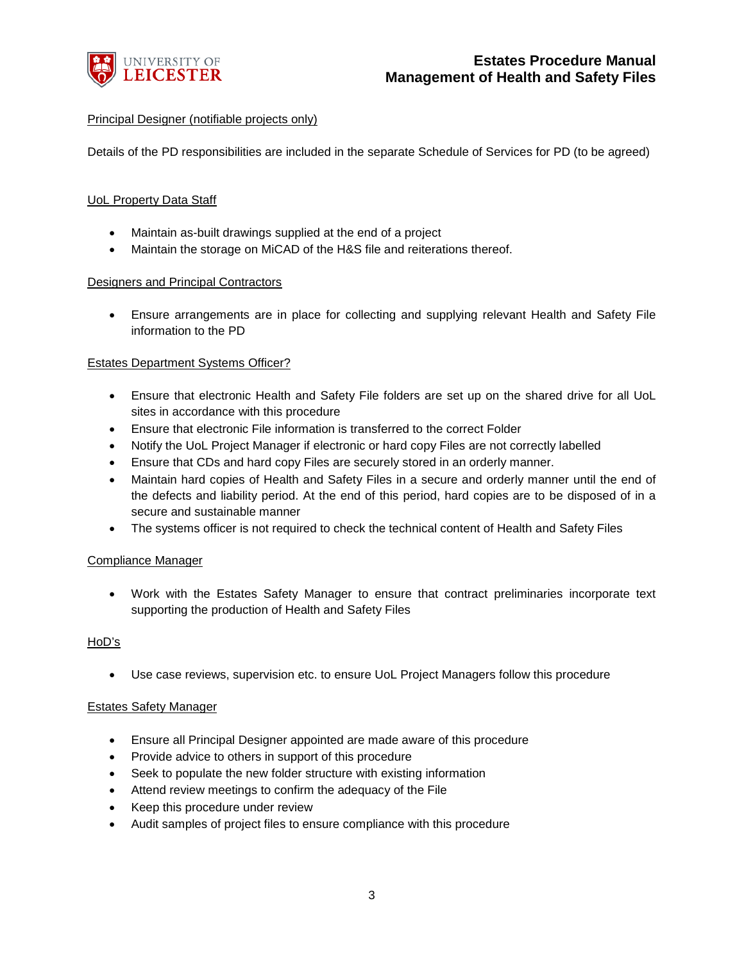

# Principal Designer (notifiable projects only)

Details of the PD responsibilities are included in the separate Schedule of Services for PD (to be agreed)

# UoL Property Data Staff

- Maintain as-built drawings supplied at the end of a project
- Maintain the storage on MiCAD of the H&S file and reiterations thereof.

#### Designers and Principal Contractors

• Ensure arrangements are in place for collecting and supplying relevant Health and Safety File information to the PD

# Estates Department Systems Officer?

- Ensure that electronic Health and Safety File folders are set up on the shared drive for all UoL sites in accordance with this procedure
- Ensure that electronic File information is transferred to the correct Folder
- Notify the UoL Project Manager if electronic or hard copy Files are not correctly labelled
- Ensure that CDs and hard copy Files are securely stored in an orderly manner.
- Maintain hard copies of Health and Safety Files in a secure and orderly manner until the end of the defects and liability period. At the end of this period, hard copies are to be disposed of in a secure and sustainable manner
- The systems officer is not required to check the technical content of Health and Safety Files

# Compliance Manager

• Work with the Estates Safety Manager to ensure that contract preliminaries incorporate text supporting the production of Health and Safety Files

# HoD's

• Use case reviews, supervision etc. to ensure UoL Project Managers follow this procedure

#### Estates Safety Manager

- Ensure all Principal Designer appointed are made aware of this procedure
- Provide advice to others in support of this procedure
- Seek to populate the new folder structure with existing information
- Attend review meetings to confirm the adequacy of the File
- Keep this procedure under review
- Audit samples of project files to ensure compliance with this procedure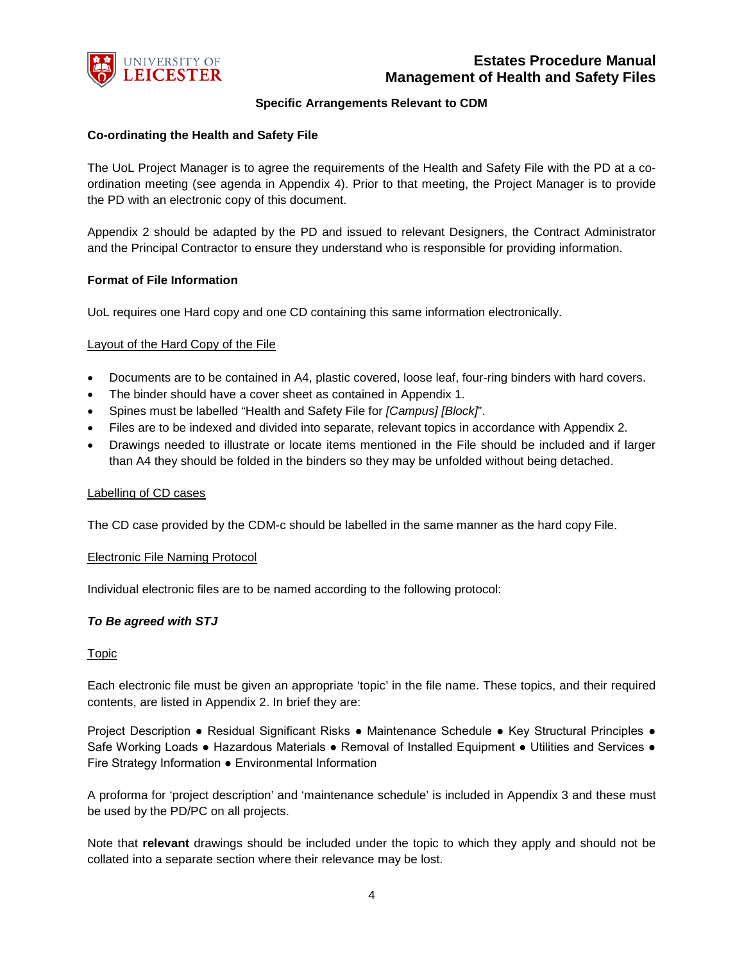

# **Specific Arrangements Relevant to CDM**

#### **Co-ordinating the Health and Safety File**

The UoL Project Manager is to agree the requirements of the Health and Safety File with the PD at a coordination meeting (see agenda in Appendix 4). Prior to that meeting, the Project Manager is to provide the PD with an electronic copy of this document.

Appendix 2 should be adapted by the PD and issued to relevant Designers, the Contract Administrator and the Principal Contractor to ensure they understand who is responsible for providing information.

#### **Format of File Information**

UoL requires one Hard copy and one CD containing this same information electronically.

#### Layout of the Hard Copy of the File

- Documents are to be contained in A4, plastic covered, loose leaf, four-ring binders with hard covers.
- The binder should have a cover sheet as contained in Appendix 1.
- Spines must be labelled "Health and Safety File for *[Campus] [Block]*".
- Files are to be indexed and divided into separate, relevant topics in accordance with Appendix 2.
- Drawings needed to illustrate or locate items mentioned in the File should be included and if larger than A4 they should be folded in the binders so they may be unfolded without being detached.

#### Labelling of CD cases

The CD case provided by the CDM-c should be labelled in the same manner as the hard copy File.

#### Electronic File Naming Protocol

Individual electronic files are to be named according to the following protocol:

#### *To Be agreed with STJ*

#### Topic

Each electronic file must be given an appropriate 'topic' in the file name. These topics, and their required contents, are listed in Appendix 2. In brief they are:

Project Description ● Residual Significant Risks ● Maintenance Schedule ● Key Structural Principles ● Safe Working Loads ● Hazardous Materials ● Removal of Installed Equipment ● Utilities and Services ● Fire Strategy Information ● Environmental Information

A proforma for 'project description' and 'maintenance schedule' is included in Appendix 3 and these must be used by the PD/PC on all projects.

Note that **relevant** drawings should be included under the topic to which they apply and should not be collated into a separate section where their relevance may be lost.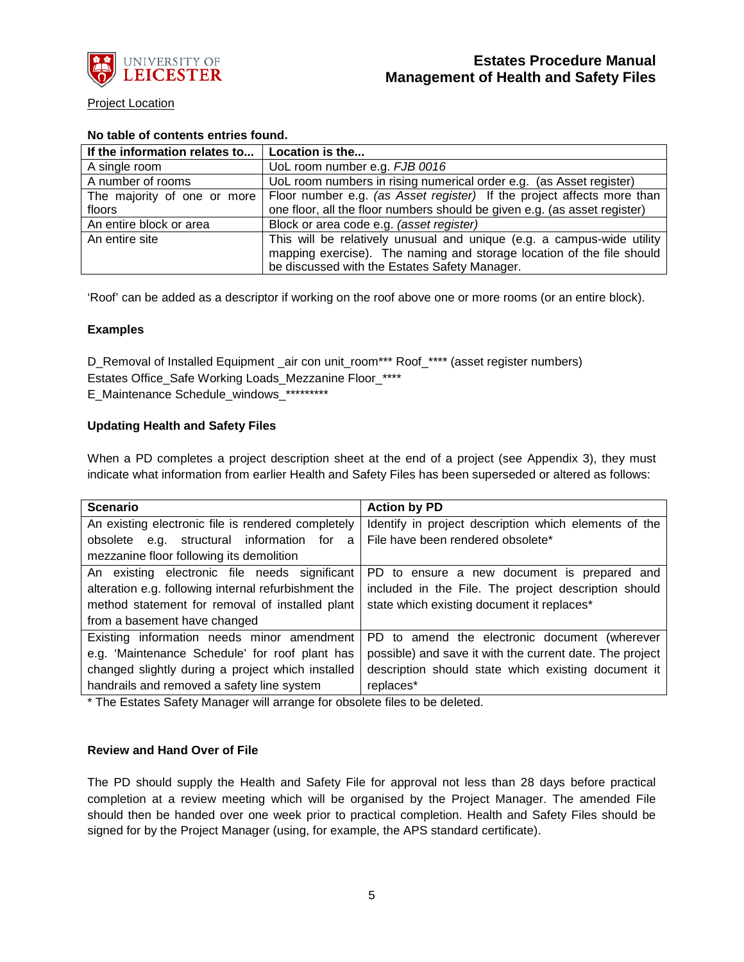

Project Location

# **No table of contents entries found.**

| If the information relates to   Location is the |                                                                                                      |
|-------------------------------------------------|------------------------------------------------------------------------------------------------------|
| A single room                                   | UoL room number e.g. FJB 0016                                                                        |
| A number of rooms                               | UoL room numbers in rising numerical order e.g. (as Asset register)                                  |
|                                                 | The majority of one or more   Floor number e.g. (as Asset register) If the project affects more than |
| floors                                          | one floor, all the floor numbers should be given e.g. (as asset register)                            |
| An entire block or area                         | Block or area code e.g. (asset register)                                                             |
| An entire site                                  | This will be relatively unusual and unique (e.g. a campus-wide utility                               |
|                                                 | mapping exercise). The naming and storage location of the file should                                |
|                                                 | be discussed with the Estates Safety Manager.                                                        |

'Roof' can be added as a descriptor if working on the roof above one or more rooms (or an entire block).

# **Examples**

D\_Removal of Installed Equipment \_air con unit\_room\*\*\* Roof\_\*\*\*\* (asset register numbers) Estates Office\_Safe Working Loads\_Mezzanine Floor\_\*\*\*\* E Maintenance Schedule windows \*\*\*\*\*\*\*\*\*

# **Updating Health and Safety Files**

When a PD completes a project description sheet at the end of a project (see Appendix 3), they must indicate what information from earlier Health and Safety Files has been superseded or altered as follows:

| <b>Scenario</b>                                      | <b>Action by PD</b>                                      |  |  |
|------------------------------------------------------|----------------------------------------------------------|--|--|
| An existing electronic file is rendered completely   | Identify in project description which elements of the    |  |  |
| obsolete e.g. structural information for<br>a        | File have been rendered obsolete*                        |  |  |
| mezzanine floor following its demolition             |                                                          |  |  |
| An existing electronic file needs significant        | PD to ensure a new document is prepared and              |  |  |
| alteration e.g. following internal refurbishment the | included in the File. The project description should     |  |  |
| method statement for removal of installed plant      | state which existing document it replaces*               |  |  |
| from a basement have changed                         |                                                          |  |  |
| Existing information needs minor amendment           | PD to amend the electronic document (wherever            |  |  |
| e.g. 'Maintenance Schedule' for roof plant has       | possible) and save it with the current date. The project |  |  |
| changed slightly during a project which installed    | description should state which existing document it      |  |  |
| handrails and removed a safety line system           | replaces*                                                |  |  |

\* The Estates Safety Manager will arrange for obsolete files to be deleted.

# **Review and Hand Over of File**

The PD should supply the Health and Safety File for approval not less than 28 days before practical completion at a review meeting which will be organised by the Project Manager. The amended File should then be handed over one week prior to practical completion. Health and Safety Files should be signed for by the Project Manager (using, for example, the APS standard certificate).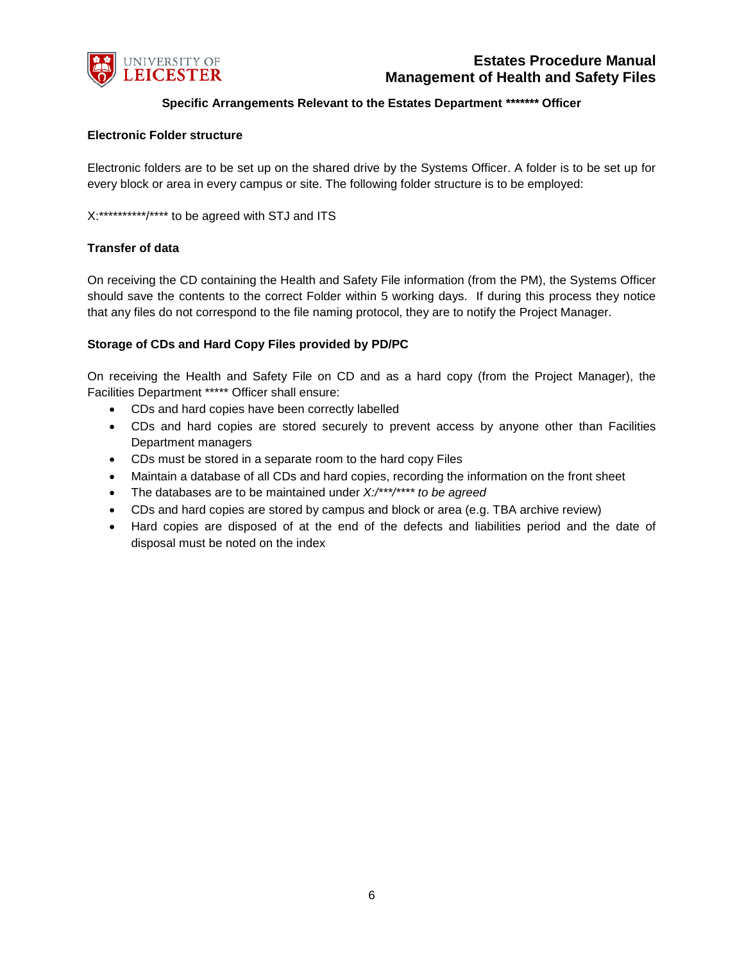

# **Specific Arrangements Relevant to the Estates Department** *\*\*\*\*\*\*\** **Officer**

#### **Electronic Folder structure**

Electronic folders are to be set up on the shared drive by the Systems Officer. A folder is to be set up for every block or area in every campus or site. The following folder structure is to be employed:

X:\*\*\*\*\*\*\*\*\*\*\*/\*\*\*\* to be agreed with STJ and ITS

## **Transfer of data**

On receiving the CD containing the Health and Safety File information (from the PM), the Systems Officer should save the contents to the correct Folder within 5 working days. If during this process they notice that any files do not correspond to the file naming protocol, they are to notify the Project Manager.

#### **Storage of CDs and Hard Copy Files provided by PD/PC**

On receiving the Health and Safety File on CD and as a hard copy (from the Project Manager), the Facilities Department \*\*\*\*\* Officer shall ensure:

- CDs and hard copies have been correctly labelled
- CDs and hard copies are stored securely to prevent access by anyone other than Facilities Department managers
- CDs must be stored in a separate room to the hard copy Files
- Maintain a database of all CDs and hard copies, recording the information on the front sheet
- The databases are to be maintained under *X:/\*\*\*/\*\*\*\* to be agreed*
- CDs and hard copies are stored by campus and block or area (e.g. TBA archive review)
- Hard copies are disposed of at the end of the defects and liabilities period and the date of disposal must be noted on the index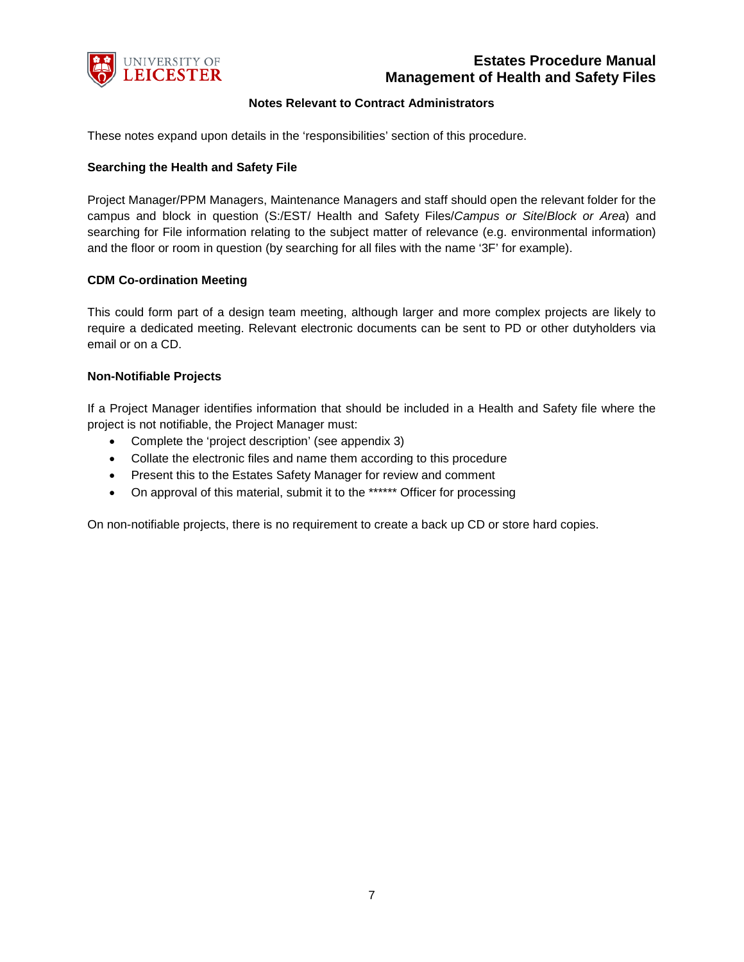

## **Notes Relevant to Contract Administrators**

These notes expand upon details in the 'responsibilities' section of this procedure.

#### **Searching the Health and Safety File**

Project Manager/PPM Managers, Maintenance Managers and staff should open the relevant folder for the campus and block in question (S:/EST/ Health and Safety Files/*Campus or Site*/*Block or Area*) and searching for File information relating to the subject matter of relevance (e.g. environmental information) and the floor or room in question (by searching for all files with the name '3F' for example).

#### **CDM Co-ordination Meeting**

This could form part of a design team meeting, although larger and more complex projects are likely to require a dedicated meeting. Relevant electronic documents can be sent to PD or other dutyholders via email or on a CD.

#### **Non-Notifiable Projects**

If a Project Manager identifies information that should be included in a Health and Safety file where the project is not notifiable, the Project Manager must:

- Complete the 'project description' (see appendix 3)
- Collate the electronic files and name them according to this procedure
- Present this to the Estates Safety Manager for review and comment
- On approval of this material, submit it to the \*\*\*\*\*\* Officer for processing

On non-notifiable projects, there is no requirement to create a back up CD or store hard copies.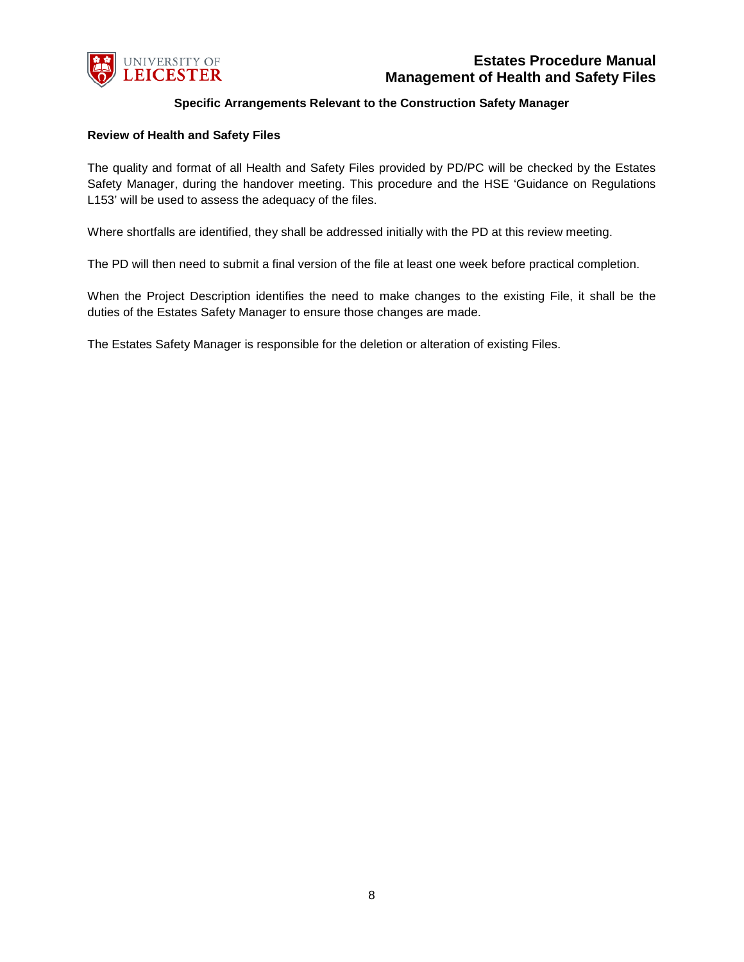

# **Specific Arrangements Relevant to the Construction Safety Manager**

#### **Review of Health and Safety Files**

The quality and format of all Health and Safety Files provided by PD/PC will be checked by the Estates Safety Manager, during the handover meeting. This procedure and the HSE 'Guidance on Regulations L153' will be used to assess the adequacy of the files.

Where shortfalls are identified, they shall be addressed initially with the PD at this review meeting.

The PD will then need to submit a final version of the file at least one week before practical completion.

When the Project Description identifies the need to make changes to the existing File, it shall be the duties of the Estates Safety Manager to ensure those changes are made.

The Estates Safety Manager is responsible for the deletion or alteration of existing Files.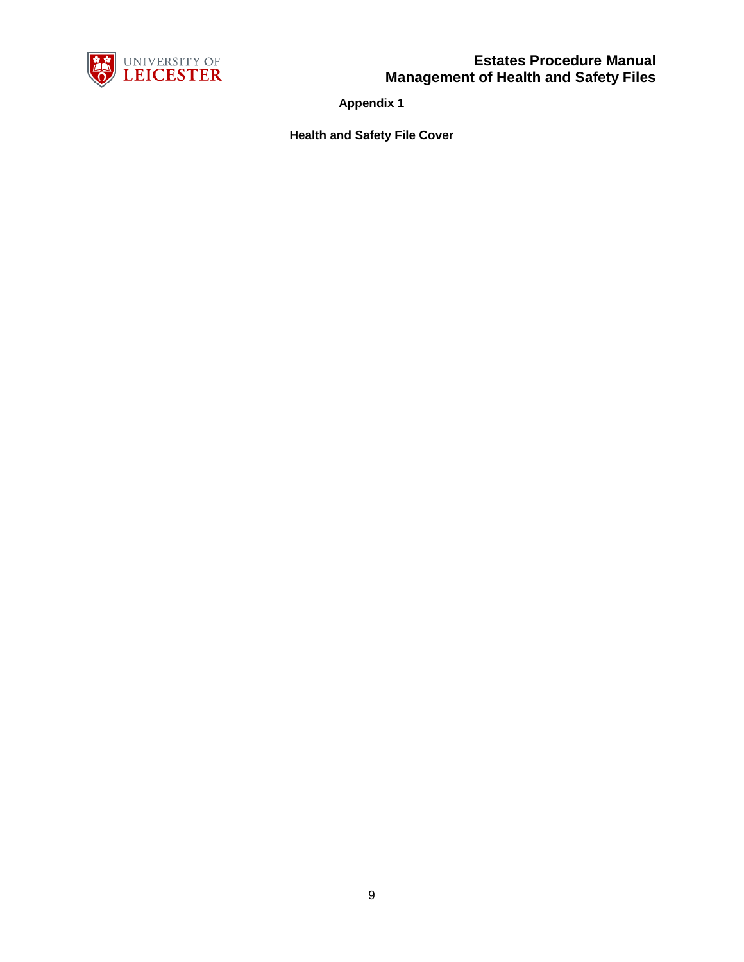

**Appendix 1**

**Health and Safety File Cover**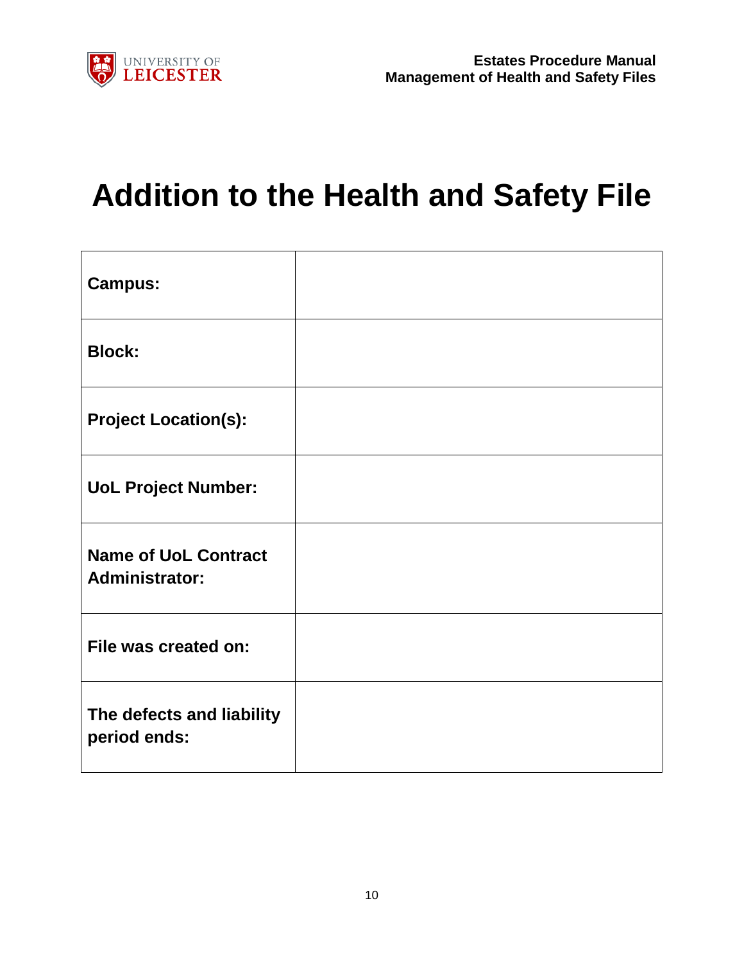

# **Addition to the Health and Safety File**

| <b>Campus:</b>                                       |  |
|------------------------------------------------------|--|
| <b>Block:</b>                                        |  |
| <b>Project Location(s):</b>                          |  |
| <b>UoL Project Number:</b>                           |  |
| <b>Name of UoL Contract</b><br><b>Administrator:</b> |  |
| File was created on:                                 |  |
| The defects and liability<br>period ends:            |  |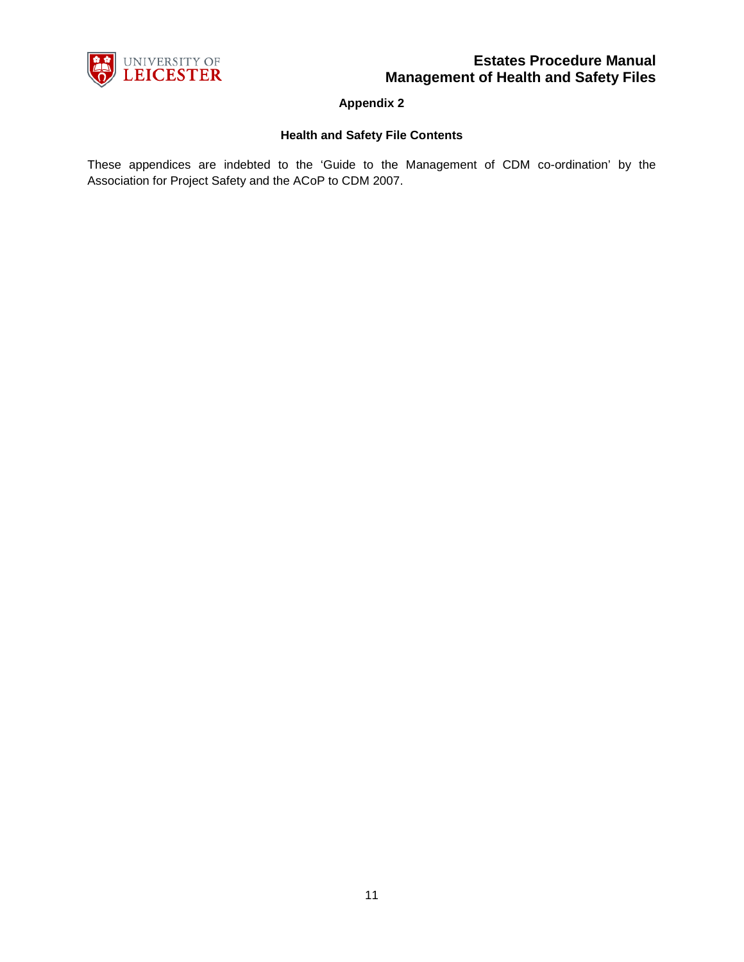

**Appendix 2**

# **Health and Safety File Contents**

These appendices are indebted to the 'Guide to the Management of CDM co-ordination' by the Association for Project Safety and the ACoP to CDM 2007.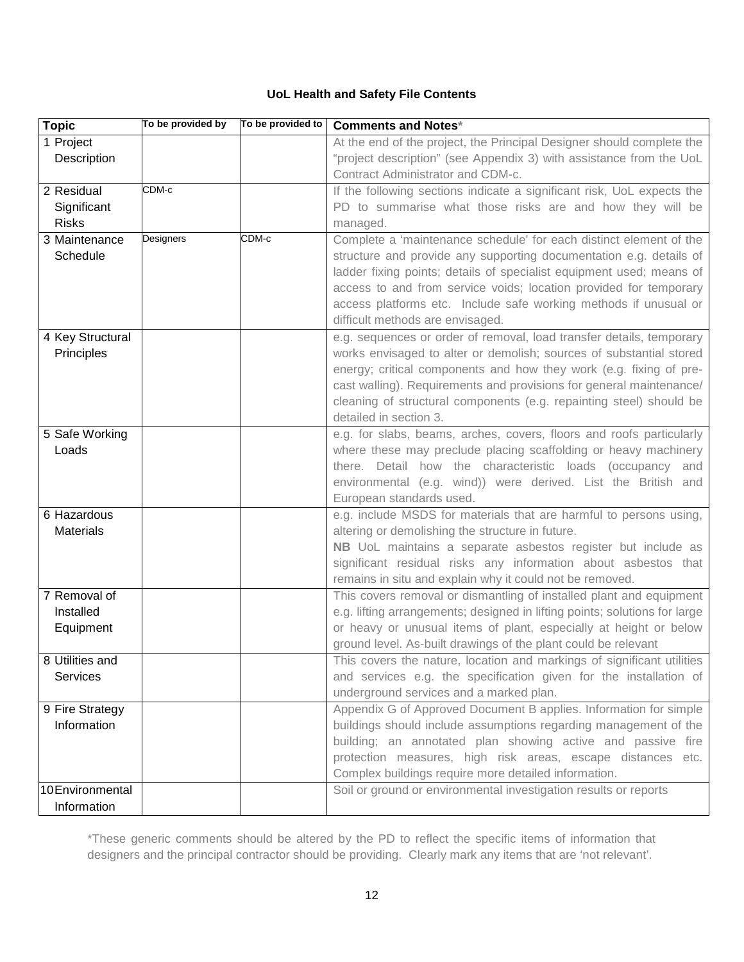# **UoL Health and Safety File Contents**

| <b>Topic</b>     | To be provided by | To be provided to | <b>Comments and Notes*</b>                                                                                                                 |
|------------------|-------------------|-------------------|--------------------------------------------------------------------------------------------------------------------------------------------|
| 1 Project        |                   |                   | At the end of the project, the Principal Designer should complete the                                                                      |
| Description      |                   |                   | "project description" (see Appendix 3) with assistance from the UoL                                                                        |
|                  |                   |                   | Contract Administrator and CDM-c.                                                                                                          |
| 2 Residual       | $CDM-c$           |                   | If the following sections indicate a significant risk, UoL expects the                                                                     |
| Significant      |                   |                   | PD to summarise what those risks are and how they will be                                                                                  |
| <b>Risks</b>     |                   |                   | managed.                                                                                                                                   |
| 3 Maintenance    | Designers         | CDM-c             | Complete a 'maintenance schedule' for each distinct element of the                                                                         |
| Schedule         |                   |                   | structure and provide any supporting documentation e.g. details of                                                                         |
|                  |                   |                   | ladder fixing points; details of specialist equipment used; means of                                                                       |
|                  |                   |                   | access to and from service voids; location provided for temporary                                                                          |
|                  |                   |                   | access platforms etc. Include safe working methods if unusual or                                                                           |
|                  |                   |                   | difficult methods are envisaged.                                                                                                           |
| 4 Key Structural |                   |                   | e.g. sequences or order of removal, load transfer details, temporary                                                                       |
| Principles       |                   |                   | works envisaged to alter or demolish; sources of substantial stored                                                                        |
|                  |                   |                   | energy; critical components and how they work (e.g. fixing of pre-                                                                         |
|                  |                   |                   | cast walling). Requirements and provisions for general maintenance/<br>cleaning of structural components (e.g. repainting steel) should be |
|                  |                   |                   | detailed in section 3.                                                                                                                     |
| 5 Safe Working   |                   |                   | e.g. for slabs, beams, arches, covers, floors and roofs particularly                                                                       |
| Loads            |                   |                   | where these may preclude placing scaffolding or heavy machinery                                                                            |
|                  |                   |                   | there. Detail how the characteristic loads (occupancy and                                                                                  |
|                  |                   |                   | environmental (e.g. wind)) were derived. List the British and                                                                              |
|                  |                   |                   | European standards used.                                                                                                                   |
| 6 Hazardous      |                   |                   | e.g. include MSDS for materials that are harmful to persons using,                                                                         |
| <b>Materials</b> |                   |                   | altering or demolishing the structure in future.                                                                                           |
|                  |                   |                   | NB UoL maintains a separate asbestos register but include as                                                                               |
|                  |                   |                   | significant residual risks any information about asbestos that                                                                             |
|                  |                   |                   | remains in situ and explain why it could not be removed.                                                                                   |
| 7 Removal of     |                   |                   | This covers removal or dismantling of installed plant and equipment                                                                        |
| Installed        |                   |                   | e.g. lifting arrangements; designed in lifting points; solutions for large                                                                 |
| Equipment        |                   |                   | or heavy or unusual items of plant, especially at height or below                                                                          |
|                  |                   |                   | ground level. As-built drawings of the plant could be relevant                                                                             |
| 8 Utilities and  |                   |                   | This covers the nature, location and markings of significant utilities                                                                     |
| Services         |                   |                   | and services e.g. the specification given for the installation of                                                                          |
|                  |                   |                   | underground services and a marked plan.                                                                                                    |
| 9 Fire Strategy  |                   |                   | Appendix G of Approved Document B applies. Information for simple                                                                          |
| Information      |                   |                   | buildings should include assumptions regarding management of the                                                                           |
|                  |                   |                   | building; an annotated plan showing active and passive fire                                                                                |
|                  |                   |                   | protection measures, high risk areas, escape distances etc.                                                                                |
|                  |                   |                   | Complex buildings require more detailed information.                                                                                       |
| 10 Environmental |                   |                   | Soil or ground or environmental investigation results or reports                                                                           |
| Information      |                   |                   |                                                                                                                                            |

\*These generic comments should be altered by the PD to reflect the specific items of information that designers and the principal contractor should be providing. Clearly mark any items that are 'not relevant'.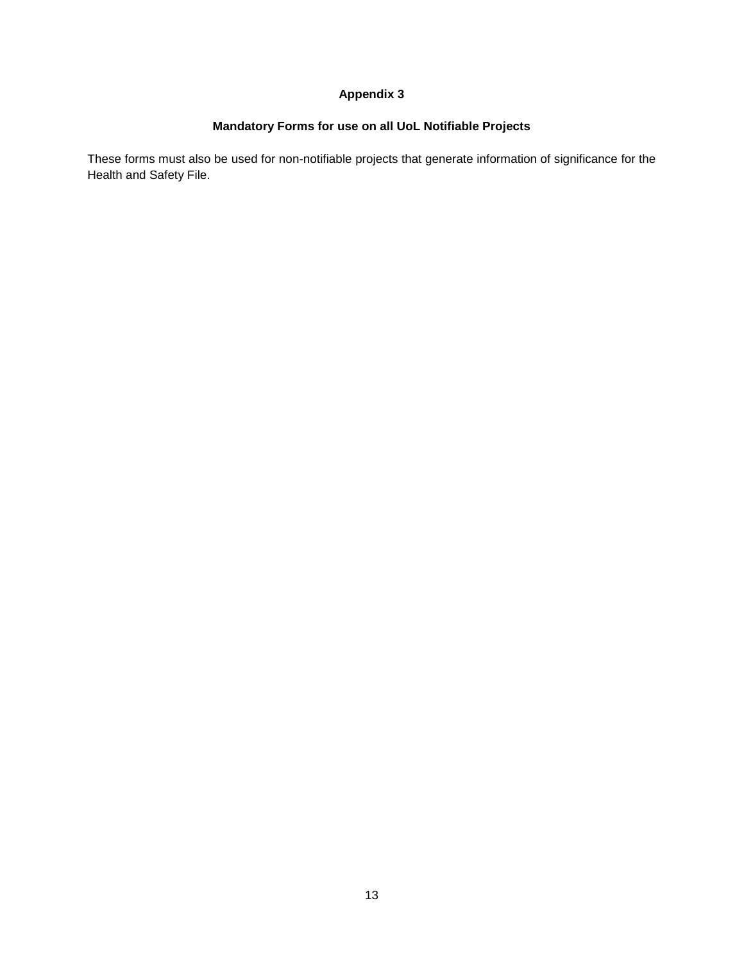# **Appendix 3**

# **Mandatory Forms for use on all UoL Notifiable Projects**

These forms must also be used for non-notifiable projects that generate information of significance for the Health and Safety File.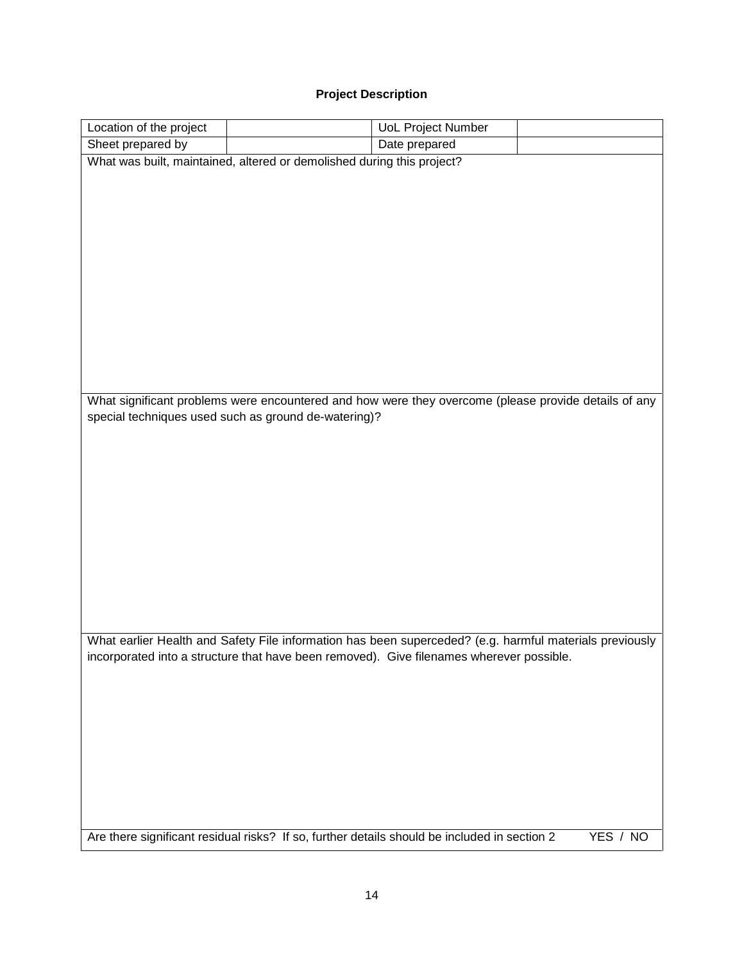# **Project Description**

| Location of the project |                                                                                                         | <b>UoL Project Number</b> |          |
|-------------------------|---------------------------------------------------------------------------------------------------------|---------------------------|----------|
| Sheet prepared by       |                                                                                                         | Date prepared             |          |
|                         | What was built, maintained, altered or demolished during this project?                                  |                           |          |
|                         |                                                                                                         |                           |          |
|                         |                                                                                                         |                           |          |
|                         |                                                                                                         |                           |          |
|                         |                                                                                                         |                           |          |
|                         |                                                                                                         |                           |          |
|                         |                                                                                                         |                           |          |
|                         |                                                                                                         |                           |          |
|                         |                                                                                                         |                           |          |
|                         |                                                                                                         |                           |          |
|                         |                                                                                                         |                           |          |
|                         |                                                                                                         |                           |          |
|                         |                                                                                                         |                           |          |
|                         | What significant problems were encountered and how were they overcome (please provide details of any    |                           |          |
|                         | special techniques used such as ground de-watering)?                                                    |                           |          |
|                         |                                                                                                         |                           |          |
|                         |                                                                                                         |                           |          |
|                         |                                                                                                         |                           |          |
|                         |                                                                                                         |                           |          |
|                         |                                                                                                         |                           |          |
|                         |                                                                                                         |                           |          |
|                         |                                                                                                         |                           |          |
|                         |                                                                                                         |                           |          |
|                         |                                                                                                         |                           |          |
|                         |                                                                                                         |                           |          |
|                         |                                                                                                         |                           |          |
|                         | What earlier Health and Safety File information has been superceded? (e.g. harmful materials previously |                           |          |
|                         | incorporated into a structure that have been removed). Give filenames wherever possible.                |                           |          |
|                         |                                                                                                         |                           |          |
|                         |                                                                                                         |                           |          |
|                         |                                                                                                         |                           |          |
|                         |                                                                                                         |                           |          |
|                         |                                                                                                         |                           |          |
|                         |                                                                                                         |                           |          |
|                         |                                                                                                         |                           |          |
|                         |                                                                                                         |                           |          |
|                         |                                                                                                         |                           |          |
|                         | Are there significant residual risks? If so, further details should be included in section 2            |                           | YES / NO |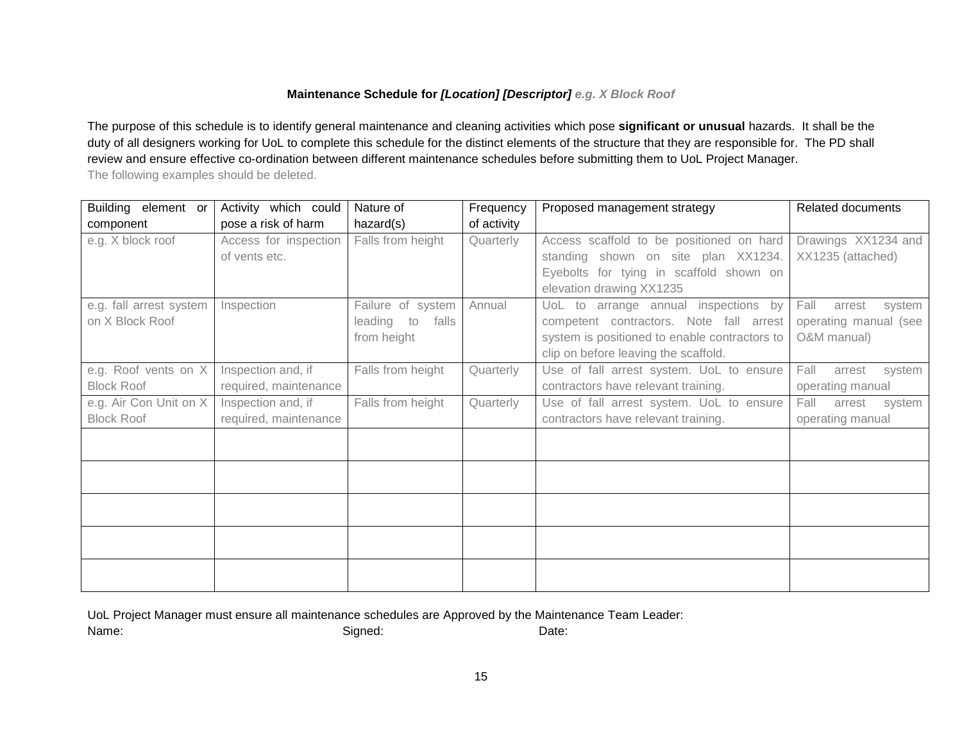# **Maintenance Schedule for** *[Location] [Descriptor] e.g. X Block Roof*

The purpose of this schedule is to identify general maintenance and cleaning activities which pose **significant or unusual** hazards. It shall be the duty of all designers working for UoL to complete this schedule for the distinct elements of the structure that they are responsible for. The PD shall review and ensure effective co-ordination between different maintenance schedules before submitting them to UoL Project Manager. The following examples should be deleted.

| Building element or     | Activity which could  | Nature of           | Frequency   | Proposed management strategy                  | Related documents        |
|-------------------------|-----------------------|---------------------|-------------|-----------------------------------------------|--------------------------|
| component               | pose a risk of harm   | hazard(s)           | of activity |                                               |                          |
| e.g. X block roof       | Access for inspection | Falls from height   | Quarterly   | Access scaffold to be positioned on hard      | Drawings XX1234 and      |
|                         | of vents etc.         |                     |             | standing shown on site plan XX1234.           | XX1235 (attached)        |
|                         |                       |                     |             | Eyebolts for tying in scaffold shown on       |                          |
|                         |                       |                     |             | elevation drawing XX1235                      |                          |
| e.g. fall arrest system | Inspection            | Failure of system   | Annual      | UoL to arrange annual inspections by          | Fall<br>arrest<br>system |
| on X Block Roof         |                       | leading to<br>falls |             | competent contractors. Note fall arrest       | operating manual (see    |
|                         |                       | from height         |             | system is positioned to enable contractors to | O&M manual)              |
|                         |                       |                     |             | clip on before leaving the scaffold.          |                          |
| e.g. Roof vents on X    | Inspection and, if    | Falls from height   | Quarterly   | Use of fall arrest system. UoL to ensure      | Fall<br>arrest<br>system |
| <b>Block Roof</b>       | required, maintenance |                     |             | contractors have relevant training.           | operating manual         |
| e.g. Air Con Unit on X  | Inspection and, if    | Falls from height   | Quarterly   | Use of fall arrest system. UoL to ensure      | Fall<br>arrest<br>system |
| <b>Block Roof</b>       | required, maintenance |                     |             | contractors have relevant training.           | operating manual         |
|                         |                       |                     |             |                                               |                          |
|                         |                       |                     |             |                                               |                          |
|                         |                       |                     |             |                                               |                          |
|                         |                       |                     |             |                                               |                          |
|                         |                       |                     |             |                                               |                          |
|                         |                       |                     |             |                                               |                          |
|                         |                       |                     |             |                                               |                          |
|                         |                       |                     |             |                                               |                          |
|                         |                       |                     |             |                                               |                          |
|                         |                       |                     |             |                                               |                          |

UoL Project Manager must ensure all maintenance schedules are Approved by the Maintenance Team Leader:

Name: Contract Contract Contract Contract Contract Contract Contract Contract Contract Contract Contract Contract Contract Contract Contract Contract Contract Contract Contract Contract Contract Contract Contract Contract